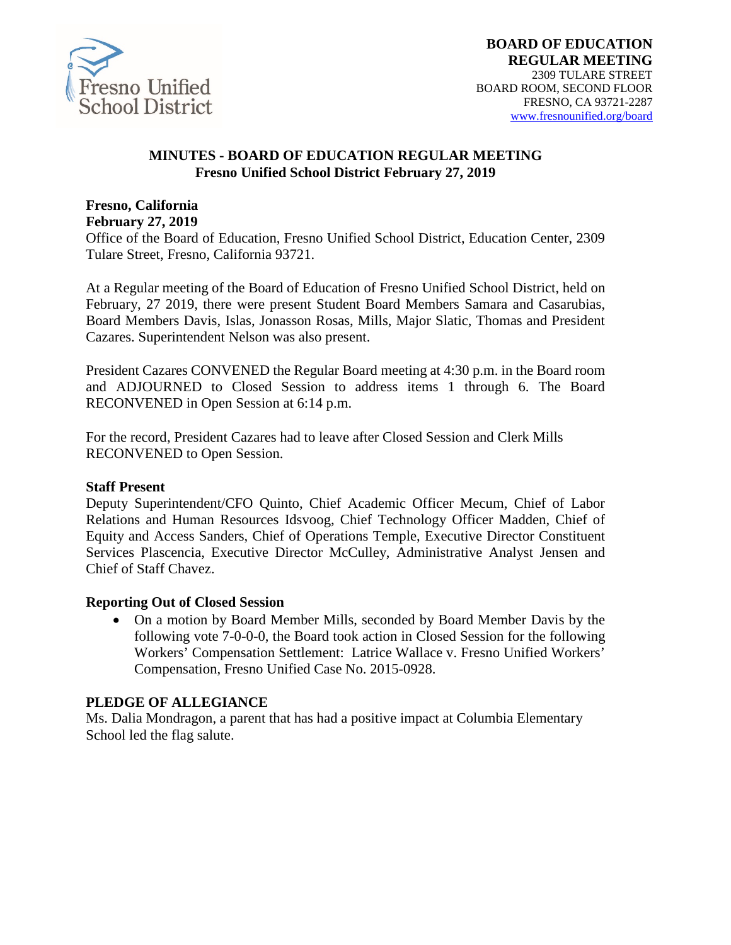

#### **MINUTES - BOARD OF EDUCATION REGULAR MEETING Fresno Unified School District February 27, 2019**

#### **Fresno, California February 27, 2019**

Office of the Board of Education, Fresno Unified School District, Education Center, 2309 Tulare Street, Fresno, California 93721.

At a Regular meeting of the Board of Education of Fresno Unified School District, held on February, 27 2019, there were present Student Board Members Samara and Casarubias, Board Members Davis, Islas, Jonasson Rosas, Mills, Major Slatic, Thomas and President Cazares. Superintendent Nelson was also present.

President Cazares CONVENED the Regular Board meeting at 4:30 p.m. in the Board room and ADJOURNED to Closed Session to address items 1 through 6. The Board RECONVENED in Open Session at 6:14 p.m.

For the record, President Cazares had to leave after Closed Session and Clerk Mills RECONVENED to Open Session.

#### **Staff Present**

Deputy Superintendent/CFO Quinto, Chief Academic Officer Mecum, Chief of Labor Relations and Human Resources Idsvoog, Chief Technology Officer Madden, Chief of Equity and Access Sanders, Chief of Operations Temple, Executive Director Constituent Services Plascencia, Executive Director McCulley, Administrative Analyst Jensen and Chief of Staff Chavez.

#### **Reporting Out of Closed Session**

• On a motion by Board Member Mills, seconded by Board Member Davis by the following vote 7-0-0-0, the Board took action in Closed Session for the following Workers' Compensation Settlement: Latrice Wallace v. Fresno Unified Workers' Compensation, Fresno Unified Case No. 2015-0928.

#### **PLEDGE OF ALLEGIANCE**

Ms. Dalia Mondragon, a parent that has had a positive impact at Columbia Elementary School led the flag salute.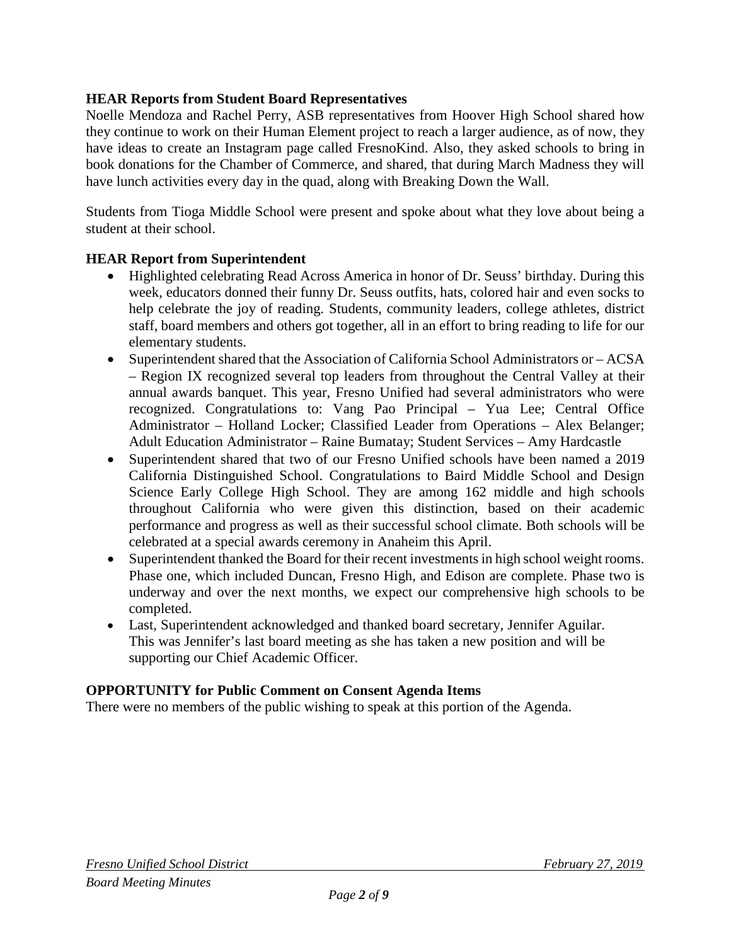# **HEAR Reports from Student Board Representatives**

Noelle Mendoza and Rachel Perry, ASB representatives from Hoover High School shared how they continue to work on their Human Element project to reach a larger audience, as of now, they have ideas to create an Instagram page called FresnoKind. Also, they asked schools to bring in book donations for the Chamber of Commerce, and shared, that during March Madness they will have lunch activities every day in the quad, along with Breaking Down the Wall.

Students from Tioga Middle School were present and spoke about what they love about being a student at their school.

#### **HEAR Report from Superintendent**

- Highlighted celebrating Read Across America in honor of Dr. Seuss' birthday. During this week, educators donned their funny Dr. Seuss outfits, hats, colored hair and even socks to help celebrate the joy of reading. Students, community leaders, college athletes, district staff, board members and others got together, all in an effort to bring reading to life for our elementary students.
- Superintendent shared that the Association of California School Administrators or ACSA – Region IX recognized several top leaders from throughout the Central Valley at their annual awards banquet. This year, Fresno Unified had several administrators who were recognized. Congratulations to: Vang Pao Principal – Yua Lee; Central Office Administrator – Holland Locker; Classified Leader from Operations – Alex Belanger; Adult Education Administrator – Raine Bumatay; Student Services – Amy Hardcastle
- Superintendent shared that two of our Fresno Unified schools have been named a 2019 California Distinguished School. Congratulations to Baird Middle School and Design Science Early College High School. They are among 162 middle and high schools throughout California who were given this distinction, based on their academic performance and progress as well as their successful school climate. Both schools will be celebrated at a special awards ceremony in Anaheim this April.
- Superintendent thanked the Board for their recent investments in high school weight rooms. Phase one, which included Duncan, Fresno High, and Edison are complete. Phase two is underway and over the next months, we expect our comprehensive high schools to be completed.
- Last, Superintendent acknowledged and thanked board secretary, Jennifer Aguilar. This was Jennifer's last board meeting as she has taken a new position and will be supporting our Chief Academic Officer.

#### **OPPORTUNITY for Public Comment on Consent Agenda Items**

There were no members of the public wishing to speak at this portion of the Agenda.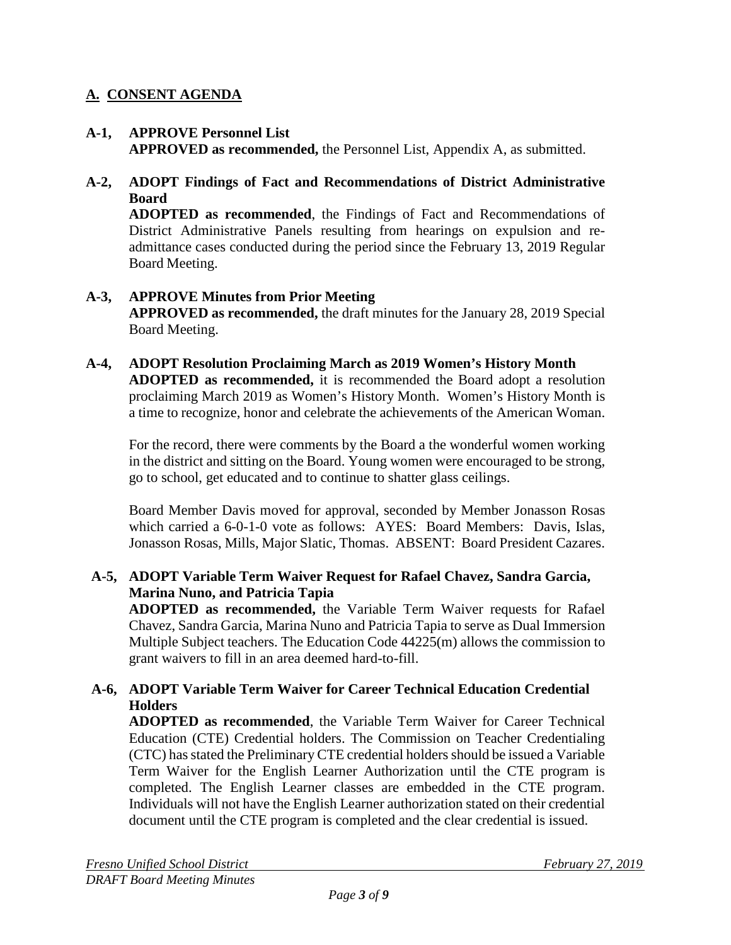# **A. CONSENT AGENDA**

#### **A-1, APPROVE Personnel List APPROVED as recommended,** the Personnel List, Appendix A, as submitted.

#### **A-2, ADOPT Findings of Fact and Recommendations of District Administrative Board**

**ADOPTED as recommended**, the Findings of Fact and Recommendations of District Administrative Panels resulting from hearings on expulsion and readmittance cases conducted during the period since the February 13, 2019 Regular Board Meeting.

## **A-3, APPROVE Minutes from Prior Meeting APPROVED as recommended,** the draft minutes for the January 28, 2019 Special Board Meeting.

#### **A-4, ADOPT Resolution Proclaiming March as 2019 Women's History Month ADOPTED as recommended,** it is recommended the Board adopt a resolution proclaiming March 2019 as Women's History Month. Women's History Month is a time to recognize, honor and celebrate the achievements of the American Woman.

For the record, there were comments by the Board a the wonderful women working in the district and sitting on the Board. Young women were encouraged to be strong, go to school, get educated and to continue to shatter glass ceilings.

Board Member Davis moved for approval, seconded by Member Jonasson Rosas which carried a 6-0-1-0 vote as follows: AYES: Board Members: Davis, Islas, Jonasson Rosas, Mills, Major Slatic, Thomas. ABSENT: Board President Cazares.

#### **A-5, ADOPT Variable Term Waiver Request for Rafael Chavez, Sandra Garcia, Marina Nuno, and Patricia Tapia**

**ADOPTED as recommended,** the Variable Term Waiver requests for Rafael Chavez, Sandra Garcia, Marina Nuno and Patricia Tapia to serve as Dual Immersion Multiple Subject teachers. The Education Code 44225(m) allows the commission to grant waivers to fill in an area deemed hard-to-fill.

## **A-6, ADOPT Variable Term Waiver for Career Technical Education Credential Holders**

**ADOPTED as recommended**, the Variable Term Waiver for Career Technical Education (CTE) Credential holders. The Commission on Teacher Credentialing (CTC) has stated the Preliminary CTE credential holders should be issued a Variable Term Waiver for the English Learner Authorization until the CTE program is completed. The English Learner classes are embedded in the CTE program. Individuals will not have the English Learner authorization stated on their credential document until the CTE program is completed and the clear credential is issued.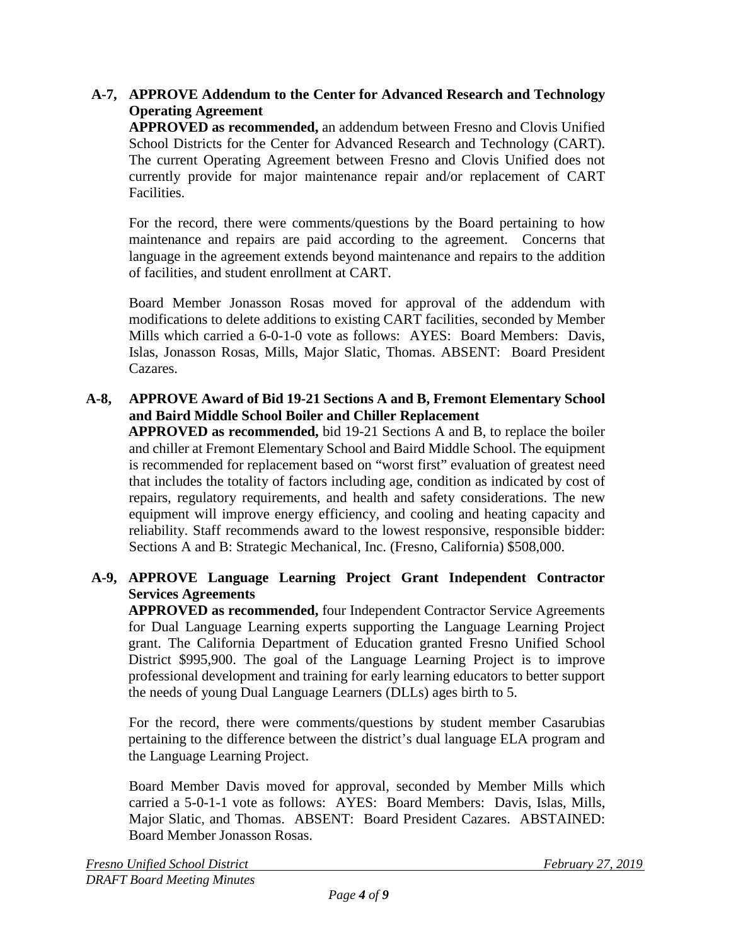# **A-7, APPROVE Addendum to the Center for Advanced Research and Technology Operating Agreement**

**APPROVED as recommended,** an addendum between Fresno and Clovis Unified School Districts for the Center for Advanced Research and Technology (CART). The current Operating Agreement between Fresno and Clovis Unified does not currently provide for major maintenance repair and/or replacement of CART Facilities.

For the record, there were comments/questions by the Board pertaining to how maintenance and repairs are paid according to the agreement. Concerns that language in the agreement extends beyond maintenance and repairs to the addition of facilities, and student enrollment at CART.

Board Member Jonasson Rosas moved for approval of the addendum with modifications to delete additions to existing CART facilities, seconded by Member Mills which carried a 6-0-1-0 vote as follows: AYES: Board Members: Davis, Islas, Jonasson Rosas, Mills, Major Slatic, Thomas. ABSENT: Board President Cazares.

# **A-8, APPROVE Award of Bid 19-21 Sections A and B, Fremont Elementary School and Baird Middle School Boiler and Chiller Replacement**

**APPROVED as recommended,** bid 19-21 Sections A and B, to replace the boiler and chiller at Fremont Elementary School and Baird Middle School. The equipment is recommended for replacement based on "worst first" evaluation of greatest need that includes the totality of factors including age, condition as indicated by cost of repairs, regulatory requirements, and health and safety considerations. The new equipment will improve energy efficiency, and cooling and heating capacity and reliability. Staff recommends award to the lowest responsive, responsible bidder: Sections A and B: Strategic Mechanical, Inc. (Fresno, California) \$508,000.

# **A-9, APPROVE Language Learning Project Grant Independent Contractor Services Agreements**

**APPROVED as recommended,** four Independent Contractor Service Agreements for Dual Language Learning experts supporting the Language Learning Project grant. The California Department of Education granted Fresno Unified School District \$995,900. The goal of the Language Learning Project is to improve professional development and training for early learning educators to better support the needs of young Dual Language Learners (DLLs) ages birth to 5.

For the record, there were comments/questions by student member Casarubias pertaining to the difference between the district's dual language ELA program and the Language Learning Project.

Board Member Davis moved for approval, seconded by Member Mills which carried a 5-0-1-1 vote as follows: AYES: Board Members: Davis, Islas, Mills, Major Slatic, and Thomas. ABSENT: Board President Cazares. ABSTAINED: Board Member Jonasson Rosas.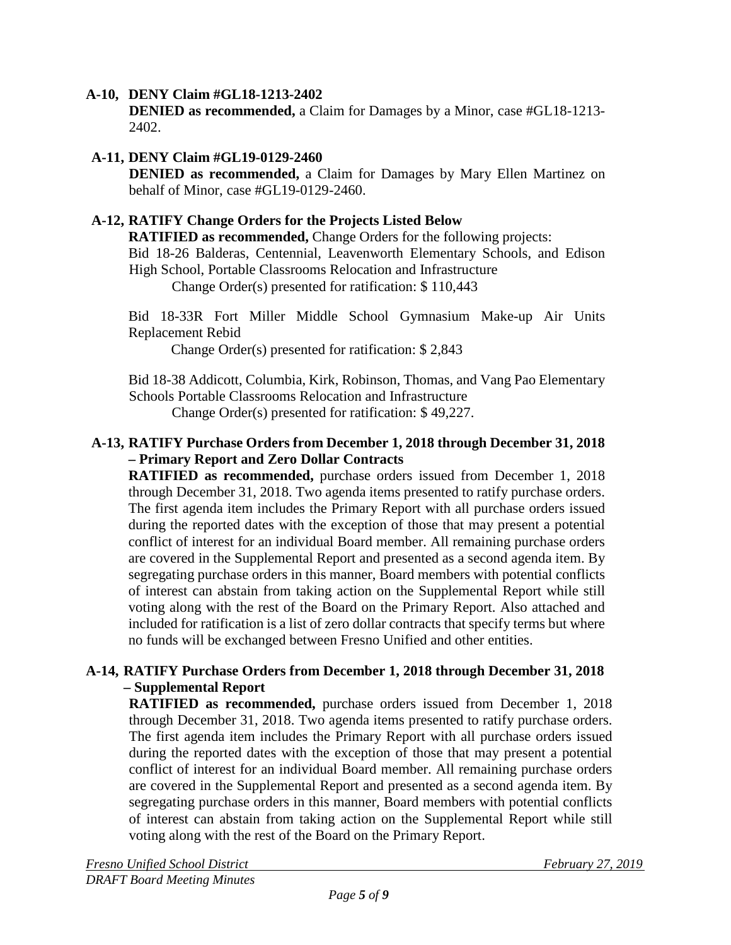#### **A-10, DENY Claim #GL18-1213-2402**

**DENIED as recommended,** a Claim for Damages by a Minor, case #GL18-1213- 2402.

## **A-11, DENY Claim #GL19-0129-2460**

**DENIED as recommended,** a Claim for Damages by Mary Ellen Martinez on behalf of Minor, case #GL19-0129-2460.

#### **A-12, RATIFY Change Orders for the Projects Listed Below**

**RATIFIED as recommended,** Change Orders for the following projects:

Bid 18-26 Balderas, Centennial, Leavenworth Elementary Schools, and Edison High School, Portable Classrooms Relocation and Infrastructure

Change Order(s) presented for ratification: \$ 110,443

Bid 18-33R Fort Miller Middle School Gymnasium Make-up Air Units Replacement Rebid

Change Order(s) presented for ratification: \$ 2,843

Bid 18-38 Addicott, Columbia, Kirk, Robinson, Thomas, and Vang Pao Elementary Schools Portable Classrooms Relocation and Infrastructure

Change Order(s) presented for ratification: \$ 49,227.

#### **A-13, RATIFY Purchase Orders from December 1, 2018 through December 31, 2018 – Primary Report and Zero Dollar Contracts**

**RATIFIED as recommended,** purchase orders issued from December 1, 2018 through December 31, 2018. Two agenda items presented to ratify purchase orders. The first agenda item includes the Primary Report with all purchase orders issued during the reported dates with the exception of those that may present a potential conflict of interest for an individual Board member. All remaining purchase orders are covered in the Supplemental Report and presented as a second agenda item. By segregating purchase orders in this manner, Board members with potential conflicts of interest can abstain from taking action on the Supplemental Report while still voting along with the rest of the Board on the Primary Report. Also attached and included for ratification is a list of zero dollar contracts that specify terms but where no funds will be exchanged between Fresno Unified and other entities.

#### **A-14, RATIFY Purchase Orders from December 1, 2018 through December 31, 2018 – Supplemental Report**

**RATIFIED as recommended,** purchase orders issued from December 1, 2018 through December 31, 2018. Two agenda items presented to ratify purchase orders. The first agenda item includes the Primary Report with all purchase orders issued during the reported dates with the exception of those that may present a potential conflict of interest for an individual Board member. All remaining purchase orders are covered in the Supplemental Report and presented as a second agenda item. By segregating purchase orders in this manner, Board members with potential conflicts of interest can abstain from taking action on the Supplemental Report while still voting along with the rest of the Board on the Primary Report.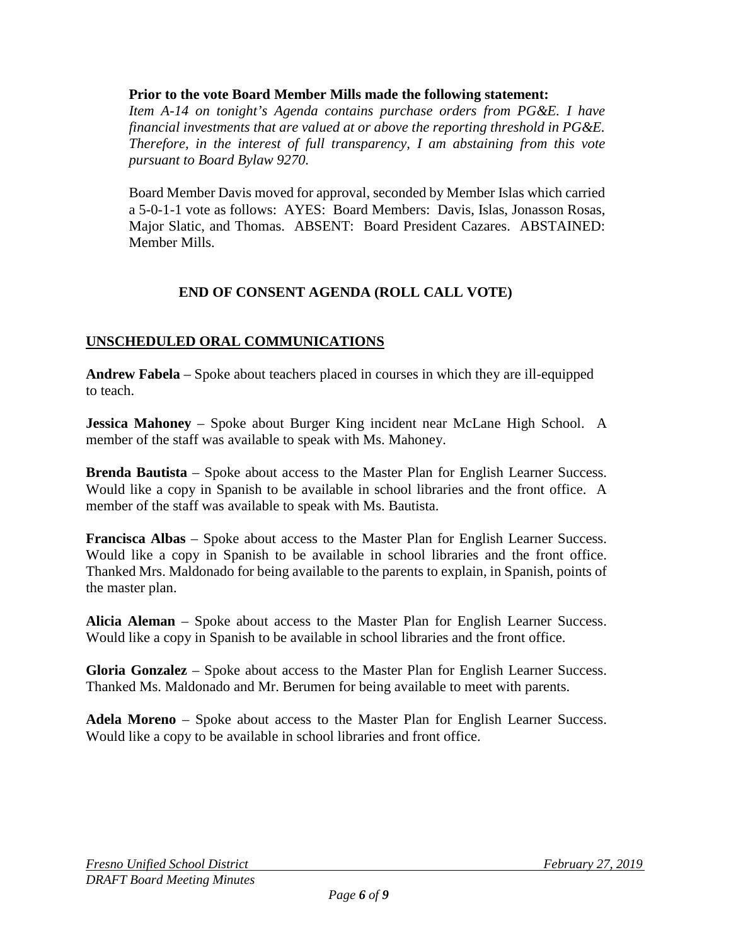**Prior to the vote Board Member Mills made the following statement:**

*Item A-14 on tonight's Agenda contains purchase orders from PG&E. I have financial investments that are valued at or above the reporting threshold in PG&E. Therefore, in the interest of full transparency, I am abstaining from this vote pursuant to Board Bylaw 9270.*

Board Member Davis moved for approval, seconded by Member Islas which carried a 5-0-1-1 vote as follows: AYES: Board Members: Davis, Islas, Jonasson Rosas, Major Slatic, and Thomas. ABSENT: Board President Cazares. ABSTAINED: Member Mills.

# **END OF CONSENT AGENDA (ROLL CALL VOTE)**

# **UNSCHEDULED ORAL COMMUNICATIONS**

**Andrew Fabela** – Spoke about teachers placed in courses in which they are ill-equipped to teach.

**Jessica Mahoney** – Spoke about Burger King incident near McLane High School. A member of the staff was available to speak with Ms. Mahoney.

**Brenda Bautista** – Spoke about access to the Master Plan for English Learner Success. Would like a copy in Spanish to be available in school libraries and the front office. A member of the staff was available to speak with Ms. Bautista.

**Francisca Albas** – Spoke about access to the Master Plan for English Learner Success. Would like a copy in Spanish to be available in school libraries and the front office. Thanked Mrs. Maldonado for being available to the parents to explain, in Spanish, points of the master plan.

**Alicia Aleman** – Spoke about access to the Master Plan for English Learner Success. Would like a copy in Spanish to be available in school libraries and the front office.

**Gloria Gonzalez** – Spoke about access to the Master Plan for English Learner Success. Thanked Ms. Maldonado and Mr. Berumen for being available to meet with parents.

**Adela Moreno** – Spoke about access to the Master Plan for English Learner Success. Would like a copy to be available in school libraries and front office.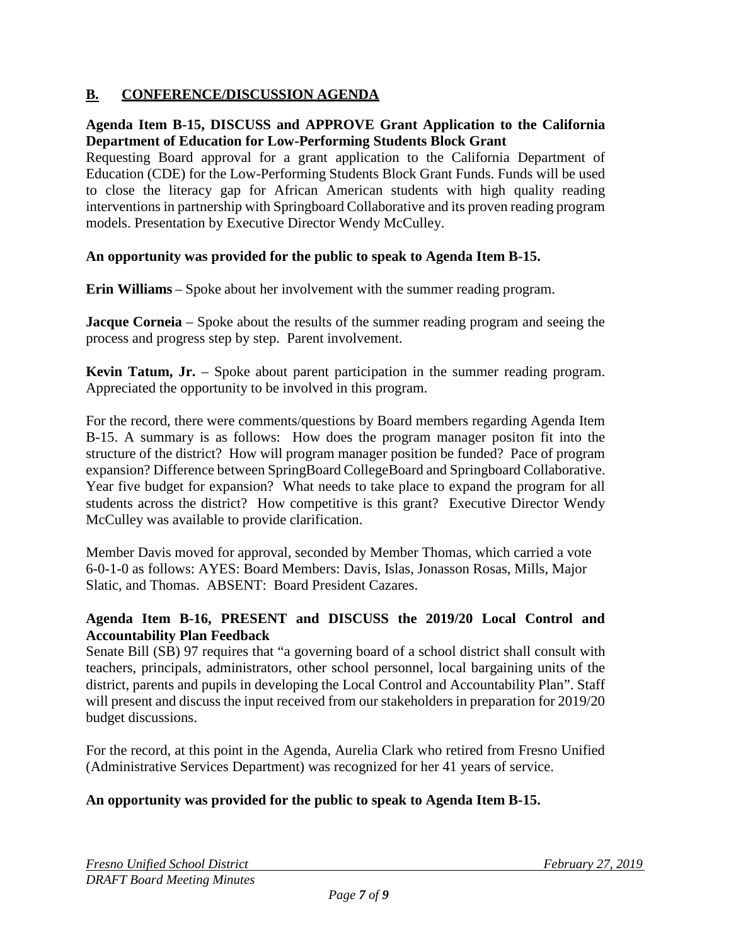# **B. CONFERENCE/DISCUSSION AGENDA**

#### **Agenda Item B-15, DISCUSS and APPROVE Grant Application to the California Department of Education for Low-Performing Students Block Grant**

Requesting Board approval for a grant application to the California Department of Education (CDE) for the Low-Performing Students Block Grant Funds. Funds will be used to close the literacy gap for African American students with high quality reading interventions in partnership with Springboard Collaborative and its proven reading program models. Presentation by Executive Director Wendy McCulley.

#### **An opportunity was provided for the public to speak to Agenda Item B-15.**

**Erin Williams** – Spoke about her involvement with the summer reading program.

**Jacque Corneia** – Spoke about the results of the summer reading program and seeing the process and progress step by step. Parent involvement.

**Kevin Tatum, Jr.** – Spoke about parent participation in the summer reading program. Appreciated the opportunity to be involved in this program.

For the record, there were comments/questions by Board members regarding Agenda Item B-15. A summary is as follows: How does the program manager positon fit into the structure of the district? How will program manager position be funded? Pace of program expansion? Difference between SpringBoard CollegeBoard and Springboard Collaborative. Year five budget for expansion? What needs to take place to expand the program for all students across the district? How competitive is this grant? Executive Director Wendy McCulley was available to provide clarification.

Member Davis moved for approval, seconded by Member Thomas, which carried a vote 6-0-1-0 as follows: AYES: Board Members: Davis, Islas, Jonasson Rosas, Mills, Major Slatic, and Thomas. ABSENT: Board President Cazares.

#### **Agenda Item B-16, PRESENT and DISCUSS the 2019/20 Local Control and Accountability Plan Feedback**

Senate Bill (SB) 97 requires that "a governing board of a school district shall consult with teachers, principals, administrators, other school personnel, local bargaining units of the district, parents and pupils in developing the Local Control and Accountability Plan". Staff will present and discuss the input received from our stakeholders in preparation for 2019/20 budget discussions.

For the record, at this point in the Agenda, Aurelia Clark who retired from Fresno Unified (Administrative Services Department) was recognized for her 41 years of service.

# **An opportunity was provided for the public to speak to Agenda Item B-15.**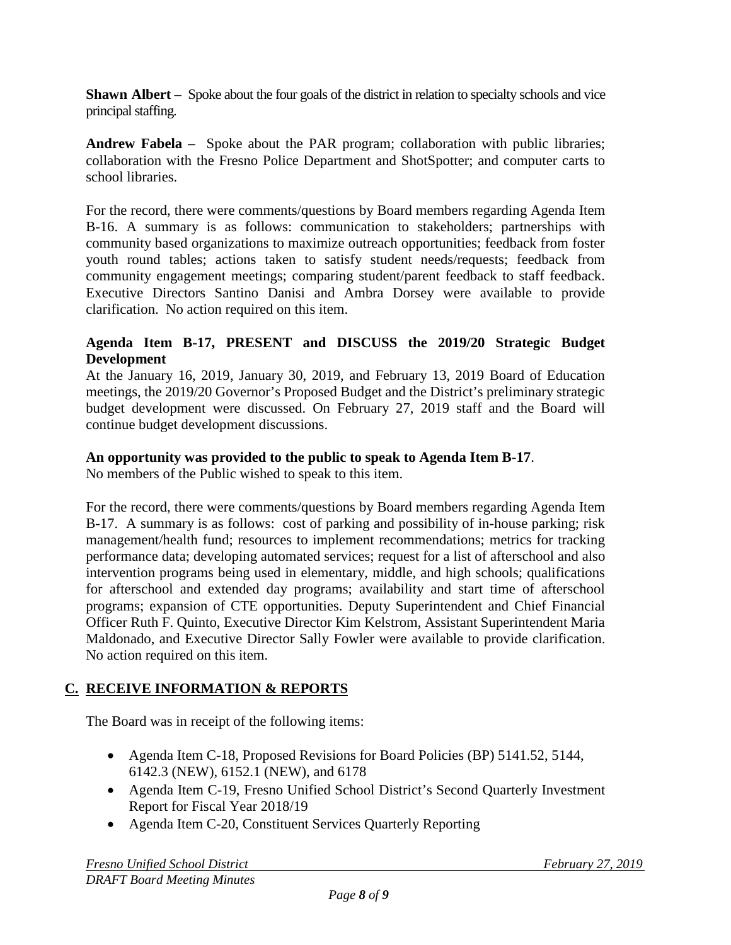**Shawn Albert** – Spoke about the four goals of the district in relation to specialty schools and vice principal staffing.

**Andrew Fabela** – Spoke about the PAR program; collaboration with public libraries; collaboration with the Fresno Police Department and ShotSpotter; and computer carts to school libraries.

For the record, there were comments/questions by Board members regarding Agenda Item B-16. A summary is as follows: communication to stakeholders; partnerships with community based organizations to maximize outreach opportunities; feedback from foster youth round tables; actions taken to satisfy student needs/requests; feedback from community engagement meetings; comparing student/parent feedback to staff feedback. Executive Directors Santino Danisi and Ambra Dorsey were available to provide clarification. No action required on this item.

#### **Agenda Item B-17, PRESENT and DISCUSS the 2019/20 Strategic Budget Development**

At the January 16, 2019, January 30, 2019, and February 13, 2019 Board of Education meetings, the 2019/20 Governor's Proposed Budget and the District's preliminary strategic budget development were discussed. On February 27, 2019 staff and the Board will continue budget development discussions.

## **An opportunity was provided to the public to speak to Agenda Item B-17**.

No members of the Public wished to speak to this item.

For the record, there were comments/questions by Board members regarding Agenda Item B-17. A summary is as follows: cost of parking and possibility of in-house parking; risk management/health fund; resources to implement recommendations; metrics for tracking performance data; developing automated services; request for a list of afterschool and also intervention programs being used in elementary, middle, and high schools; qualifications for afterschool and extended day programs; availability and start time of afterschool programs; expansion of CTE opportunities. Deputy Superintendent and Chief Financial Officer Ruth F. Quinto, Executive Director Kim Kelstrom, Assistant Superintendent Maria Maldonado, and Executive Director Sally Fowler were available to provide clarification. No action required on this item.

# **C. RECEIVE INFORMATION & REPORTS**

The Board was in receipt of the following items:

- Agenda Item C-18, Proposed Revisions for Board Policies (BP) 5141.52, 5144, 6142.3 (NEW), 6152.1 (NEW), and 6178
- Agenda Item C-19, Fresno Unified School District's Second Quarterly Investment Report for Fiscal Year 2018/19
- Agenda Item C-20, Constituent Services Quarterly Reporting